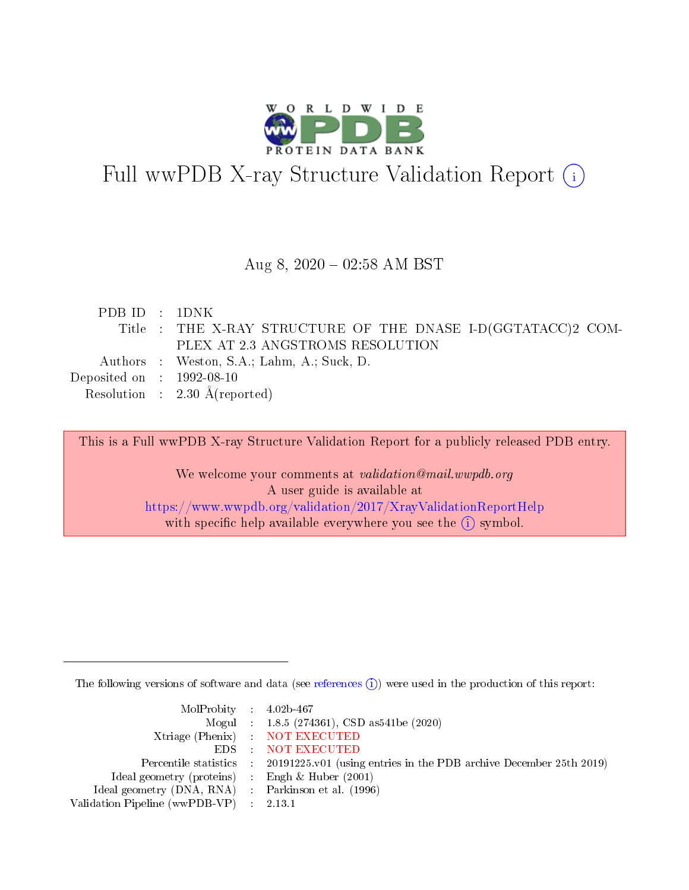

# Full wwPDB X-ray Structure Validation Report (i)

#### Aug 8,  $2020 - 02:58$  AM BST

| PDB ID : 1DNK                        |                                                             |
|--------------------------------------|-------------------------------------------------------------|
|                                      | Title: THE X-RAY STRUCTURE OF THE DNASE I-D(GGTATACC)2 COM- |
|                                      | PLEX AT 2.3 ANGSTROMS RESOLUTION                            |
|                                      | Authors : Weston, S.A.; Lahm, A.; Suck, D.                  |
| Deposited on $\therefore$ 1992-08-10 |                                                             |
|                                      | Resolution : $2.30 \text{ Å}$ (reported)                    |

This is a Full wwPDB X-ray Structure Validation Report for a publicly released PDB entry.

We welcome your comments at validation@mail.wwpdb.org A user guide is available at <https://www.wwpdb.org/validation/2017/XrayValidationReportHelp> with specific help available everywhere you see the  $(i)$  symbol.

The following versions of software and data (see [references](https://www.wwpdb.org/validation/2017/XrayValidationReportHelp#references)  $(i)$ ) were used in the production of this report:

| $MolProbability$ 4.02b-467                          |                                                                                            |
|-----------------------------------------------------|--------------------------------------------------------------------------------------------|
|                                                     | Mogul : 1.8.5 (274361), CSD as541be (2020)                                                 |
|                                                     | Xtriage (Phenix) NOT EXECUTED                                                              |
|                                                     | EDS : NOT EXECUTED                                                                         |
|                                                     | Percentile statistics : 20191225.v01 (using entries in the PDB archive December 25th 2019) |
| Ideal geometry (proteins) :                         | Engh & Huber $(2001)$                                                                      |
| Ideal geometry (DNA, RNA) : Parkinson et al. (1996) |                                                                                            |
| Validation Pipeline (wwPDB-VP) : 2.13.1             |                                                                                            |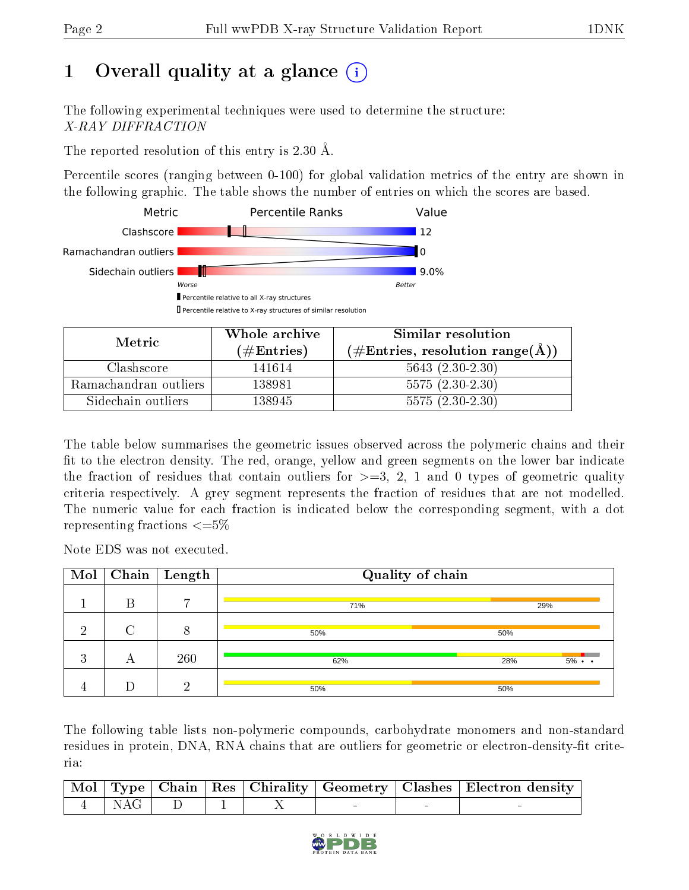## 1 [O](https://www.wwpdb.org/validation/2017/XrayValidationReportHelp#overall_quality)verall quality at a glance (i)

The following experimental techniques were used to determine the structure: X-RAY DIFFRACTION

The reported resolution of this entry is 2.30 Å.

Percentile scores (ranging between 0-100) for global validation metrics of the entry are shown in the following graphic. The table shows the number of entries on which the scores are based.



| Metric.               | Whole archive        | Similar resolution                                         |
|-----------------------|----------------------|------------------------------------------------------------|
|                       | $(\#\text{Entries})$ | $(\#\text{Entries}, \text{resolution range}(\text{\AA})\)$ |
| Clashscore            | 141614               | $5643(2.30-2.30)$                                          |
| Ramachandran outliers | 138981               | $5575(2.30-2.30)$                                          |
| Sidechain outliers    | 138945               | $5575(2.30-2.30)$                                          |

The table below summarises the geometric issues observed across the polymeric chains and their fit to the electron density. The red, orange, yellow and green segments on the lower bar indicate the fraction of residues that contain outliers for  $\geq=3$ , 2, 1 and 0 types of geometric quality criteria respectively. A grey segment represents the fraction of residues that are not modelled. The numeric value for each fraction is indicated below the corresponding segment, with a dot representing fractions  $\leq=5\%$ 

Note EDS was not executed.

| Mol            |   | $\overline{\text{Chain}} \mid \text{Length}$ | Quality of chain |     |                   |  |  |
|----------------|---|----------------------------------------------|------------------|-----|-------------------|--|--|
|                | В | $\overline{ }$                               | 71%              | 29% |                   |  |  |
| ച              |   |                                              | 50%              | 50% |                   |  |  |
| ച<br>$\cdot$ 1 | А | 260                                          | 62%              | 28% | $5\% \cdot \cdot$ |  |  |
| 4              |   | ച                                            | 50%              | 50% |                   |  |  |

The following table lists non-polymeric compounds, carbohydrate monomers and non-standard residues in protein, DNA, RNA chains that are outliers for geometric or electron-density-fit criteria:

|                           |  |  | Mol   Type   Chain   Res   Chirality   Geometry   Clashes   Electron density |
|---------------------------|--|--|------------------------------------------------------------------------------|
| $\vert 4 \vert NAG \vert$ |  |  |                                                                              |

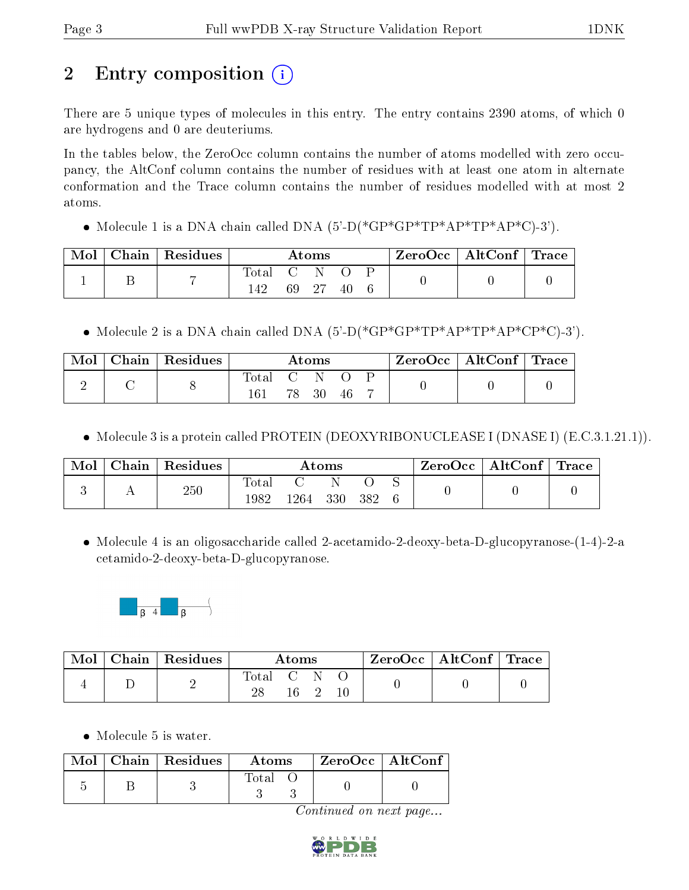## 2 Entry composition  $\left( \cdot \right)$

There are 5 unique types of molecules in this entry. The entry contains 2390 atoms, of which 0 are hydrogens and 0 are deuteriums.

In the tables below, the ZeroOcc column contains the number of atoms modelled with zero occupancy, the AltConf column contains the number of residues with at least one atom in alternate conformation and the Trace column contains the number of residues modelled with at most 2 atoms.

• Molecule 1 is a DNA chain called DNA  $(5-D(*GP*GP*TP*AP*TP*AP*C)-3')$ .

| Mol | $\mid$ Chain $\mid$ Residues $\mid$ |     |       | $\rm{Atoms}$ |    |  | $\text{ZeroOcc} \mid \text{AltConf} \mid \text{Trace}$ |  |
|-----|-------------------------------------|-----|-------|--------------|----|--|--------------------------------------------------------|--|
|     |                                     |     | $C-N$ |              |    |  |                                                        |  |
|     |                                     | 142 |       | 69 27        | 40 |  |                                                        |  |

• Molecule 2 is a DNA chain called DNA  $(5)-D(*GP*GP*TP*AP*TP*AP*CP*C)-3'$ .

| Mol | Chain   Residues |                           | Atoms |    |  | $ZeroOcc \mid AltConf \mid Trace \mid$ |  |
|-----|------------------|---------------------------|-------|----|--|----------------------------------------|--|
|     |                  | $\Gamma$ Total C N<br>161 | 78 30 | 46 |  |                                        |  |

• Molecule 3 is a protein called PROTEIN (DEOXYRIBONUCLEASE I (DNASE I) (E.C.3.1.21.1)).

| Mol | Chain | $^{\shortmid}$ Residues |                        |      | $\bm{\mathrm{Atoms}}$ |      |  | $\text{ZeroOcc} \mid \text{AltConf} \mid \text{Trace}$ |  |
|-----|-------|-------------------------|------------------------|------|-----------------------|------|--|--------------------------------------------------------|--|
|     |       | $250\,$                 | $_{\rm Total}$<br>1982 | 1264 | 330                   | -382 |  |                                                        |  |

• Molecule 4 is an oligosaccharide called 2-acetamido-2-deoxy-beta-D-glucopyranose- $(1-4)-2$ -a cetamido-2-deoxy-beta-D-glucopyranose.



|  | $\parallel$ Mol $\parallel$ Chain $\parallel$ Residues $\parallel$ | Atoms       |  |  | $\text{ZeroOcc} \mid \text{AltConf} \mid \text{Trace}$ |  |
|--|--------------------------------------------------------------------|-------------|--|--|--------------------------------------------------------|--|
|  |                                                                    | Total C N O |  |  |                                                        |  |

• Molecule 5 is water.

|  | $Mol$   Chain   Residues | Atoms       | ZeroOcc   AltConf |  |
|--|--------------------------|-------------|-------------------|--|
|  |                          | $\rm Total$ |                   |  |

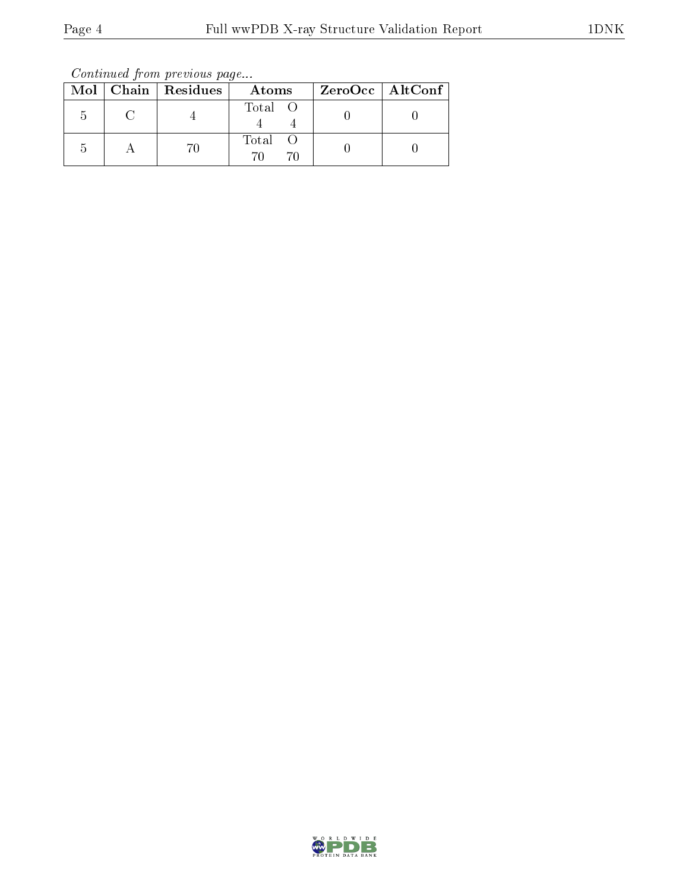Continued from previous page...

|  | Mol   Chain   Residues | Atoms   | ZeroOcc   AltConf |
|--|------------------------|---------|-------------------|
|  |                        | Total O |                   |
|  |                        | Total   |                   |

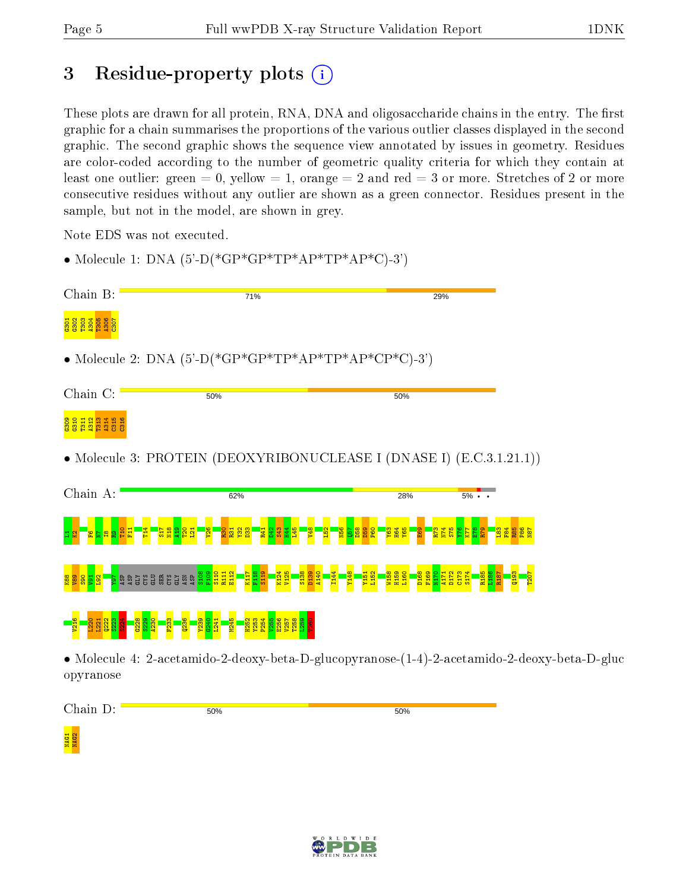## 3 Residue-property plots  $\binom{1}{1}$

• Molecule 1: DNA  $(5)-$ <sub>C</sub> $*(GP * GP * TP * AP * TP * AP * C) - 3')$ 

These plots are drawn for all protein, RNA, DNA and oligosaccharide chains in the entry. The first graphic for a chain summarises the proportions of the various outlier classes displayed in the second graphic. The second graphic shows the sequence view annotated by issues in geometry. Residues are color-coded according to the number of geometric quality criteria for which they contain at least one outlier: green  $= 0$ , yellow  $= 1$ , orange  $= 2$  and red  $= 3$  or more. Stretches of 2 or more consecutive residues without any outlier are shown as a green connector. Residues present in the sample, but not in the model, are shown in grey.

Note EDS was not executed.

Chain B: 71% 29%  $\frac{3033329888}{3203033}$ • Molecule 2: DNA  $(5^{\circ}$ -D(\*GP\*GP\*TP\*AP\*TP\*AP\*CP\*C)-3') Chain C: 50%  $50%$ 88 S<br>881 S 2013 881<br>C312 C315 C31 • Molecule 3: PROTEIN (DEOXYRIBONUCLEASE I (DNASE I) (E.C.3.1.21.1)) Chain A: 62% 28%  $5%$  $\frac{1}{2}$  $\Xi^+$  $\frac{14}{14}$  $\frac{17}{15}$  $\frac{8}{2}$  $\frac{1}{2}$ T20  $\frac{21}{2}$  $\frac{26}{2}$  $\frac{8}{2}$ R31  $\frac{32}{2}$  $\frac{33}{2}$ R41 <u>କ୍ଷା</u>  $\frac{33}{2}$ क्ष  $\frac{1}{2}$  $\frac{48}{1}$  $52$ N56  $\frac{57}{2}$  $\frac{8}{2}$ D59  $\frac{1}{2}$ Y63 H64 Y65 E69 R73  $\frac{N}{4}$  $\frac{5}{2}$  $\frac{8}{11}$ K77  $\frac{8}{2}$ R79  $\frac{183}{2}$  $\frac{84}{1}$ R85 P86 N87 1825 RD<br>1925 RD K124 I144 S174 S108 F109 S110 R111 E112 K117 F118 S119 V125 S138 D139 A140 Y148 Y151 L152 W158 H159 L160 D168 F169 N170 A171 D172  $\frac{173}{2}$ R185 L186 R187 Q193 T207 K88 V89  $\frac{8}{2}$  $\frac{1}{2}$  $\frac{2}{2}$ Y97 ASP ASP ESERE E ASN ASP V216 L220 L221  $222$ S223  $\frac{24}{2}$ G228 S229 A230 F233  $236$ Y239  $6240$ L241 M245 H252 Y253 P254 V255 E256 V257 T258  $\frac{259}{2}$ T260

• Molecule 4: 2-acetamido-2-deoxy-beta-D-glucopyranose-(1-4)-2-acetamido-2-deoxy-beta-D-gluc opyranose

Chain D: 50% 50%

NAG1<br>NAG2

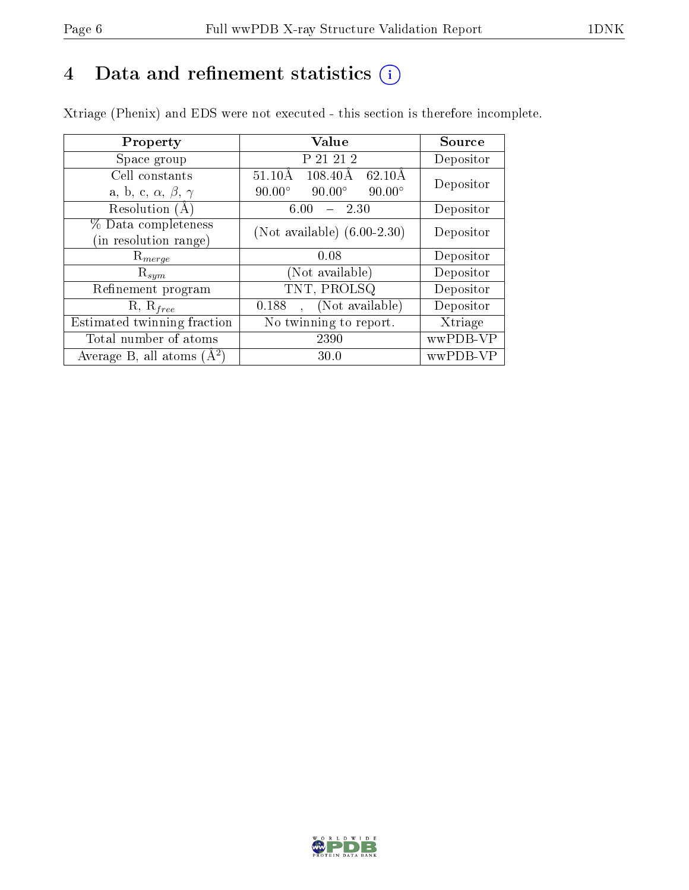## 4 Data and refinement statistics  $(i)$

Xtriage (Phenix) and EDS were not executed - this section is therefore incomplete.

| Property                               | Value                                                        | Source    |  |
|----------------------------------------|--------------------------------------------------------------|-----------|--|
| Space group                            | P 21 21 2                                                    | Depositor |  |
| Cell constants                         | $108.40\text{\AA}$<br>$62.10\text{\AA}$<br>$51.10\text{\AA}$ | Depositor |  |
| a, b, c, $\alpha$ , $\beta$ , $\gamma$ | $90.00^\circ$<br>$90.00^\circ$<br>$90.00^\circ$              |           |  |
| Resolution $(A)$                       | 2.30<br>6.00                                                 | Depositor |  |
| % Data completeness                    | (Not available) $(6.00-2.30)$                                | Depositor |  |
| (in resolution range)                  |                                                              |           |  |
| $R_{merge}$                            | 0.08                                                         | Depositor |  |
| $\mathrm{R}_{sym}$                     | Not available)                                               | Depositor |  |
| Refinement program                     | TNT, PROLSQ                                                  | Depositor |  |
| $R, R_{free}$                          | (Not available)<br>0.188                                     | Depositor |  |
| Estimated twinning fraction            | $\overline{\text{No}}$ twinning to report.                   | Xtriage   |  |
| Total number of atoms                  | 2390                                                         | wwPDB-VP  |  |
| Average B, all atoms $(A^2)$           | 30.0                                                         | wwPDB-VP  |  |

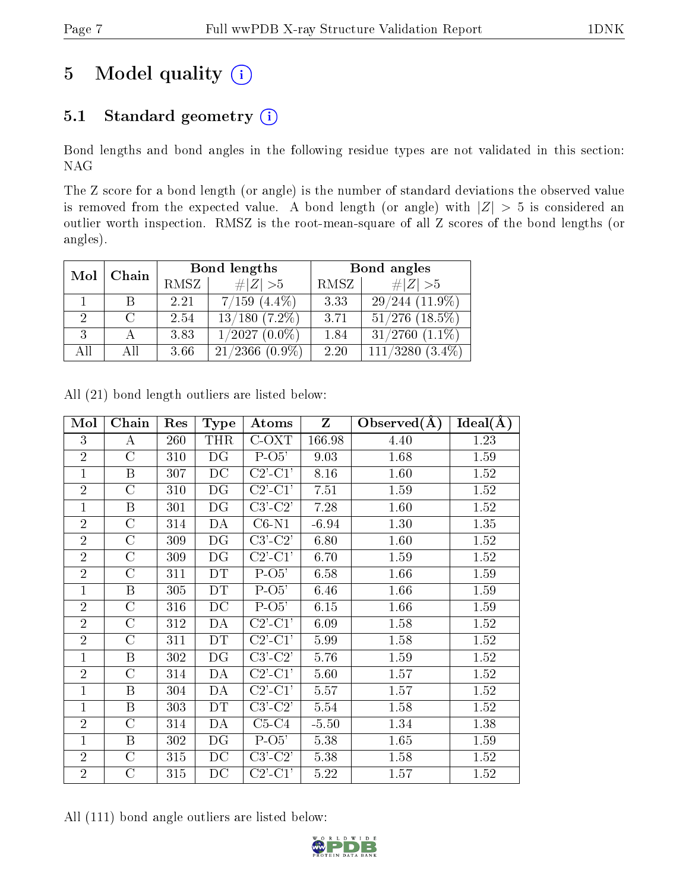## 5 Model quality  $(i)$

### 5.1 Standard geometry (i)

Bond lengths and bond angles in the following residue types are not validated in this section: NAG

The Z score for a bond length (or angle) is the number of standard deviations the observed value is removed from the expected value. A bond length (or angle) with  $|Z| > 5$  is considered an outlier worth inspection. RMSZ is the root-mean-square of all Z scores of the bond lengths (or angles).

| Chain<br>Mol |      | Bond lengths |                      | Bond angles |                       |  |
|--------------|------|--------------|----------------------|-------------|-----------------------|--|
|              | RMSZ | # $ Z >5$    | RMSZ                 | # $ Z >5$   |                       |  |
|              | B    | 2.21         | $7/159$ $(4.4\%)$    | 3.33        | $29/244(11.9\%)$      |  |
|              |      | 2.54         | $13/180$ $(7.2\%)$   | 3.71        | $51/276$ $(18.5\%)$   |  |
| 3            |      | 3.83         | $1/2027(0.0\%)$      | 1.84        | $31/2760$ $(1.1\%)$   |  |
| All          | All  | 3.66         | 21/2366<br>$(0.9\%)$ | 2.20        | 111/3280<br>$(3.4\%)$ |  |

| Mol            | Chain              | Res | <b>Type</b> | Atoms                       | $\mathbf{Z}$ | Observed $(A)$ | Ideal(A) |
|----------------|--------------------|-----|-------------|-----------------------------|--------------|----------------|----------|
| 3              | A                  | 260 | <b>THR</b>  | C-OXT                       | 166.98       | 4.40           | 1.23     |
| $\overline{2}$ | $\mathcal{C}$      | 310 | DG          | $P-O5'$                     | 9.03         | 1.68           | 1.59     |
| $\mathbf{1}$   | $\mathbf B$        | 307 | DC          | $C2$ '- $C1$ '              | 8.16         | 1.60           | 1.52     |
| $\overline{2}$ | $\mathcal{C}$      | 310 | DG          | $C2$ '- $C1'$               | 7.51         | 1.59           | 1.52     |
| $\mathbf{1}$   | $\mathbf B$        | 301 | DG          | $C3'-C2'$                   | 7.28         | 1.60           | 1.52     |
| $\overline{2}$ | $\overline{\rm C}$ | 314 | DA          | $\overline{\text{C6-N1}}$   | $-6.94$      | 1.30           | 1.35     |
| $\overline{2}$ | $\mathcal{C}$      | 309 | DG          | $C3'-C2'$                   | 6.80         | 1.60           | 1.52     |
| $\overline{2}$ | $\mathcal{C}$      | 309 | DG          | $C2$ '- $C1$ '              | 6.70         | 1.59           | 1.52     |
| $\overline{2}$ | $\mathcal{C}$      | 311 | DT          | $P-O5'$                     | 6.58         | 1.66           | 1.59     |
| $\mathbf{1}$   | B                  | 305 | DT          | $P-O5'$                     | 6.46         | 1.66           | 1.59     |
| $\overline{2}$ | $\mathcal{C}$      | 316 | DC          | $P-O5'$                     | 6.15         | 1.66           | 1.59     |
| $\overline{2}$ | $\overline{C}$     | 312 | DA          | $C2$ '- $C1$ '              | 6.09         | 1.58           | 1.52     |
| $\overline{2}$ | $\mathcal{C}$      | 311 | DT          | $\overline{C2'-C1'}$        | 5.99         | 1.58           | 1.52     |
| $\mathbf{1}$   | $\, {\bf B}$       | 302 | DG          | $C3$ ' $-C2$ '              | 5.76         | 1.59           | 1.52     |
| $\overline{2}$ | $\rm C$            | 314 | DА          | $C2$ <sup>'</sup> - $C1$ '  | 5.60         | 1.57           | 1.52     |
| $\mathbf{1}$   | $\boldsymbol{B}$   | 304 | DA          | $C2$ '- $C1$ '              | 5.57         | 1.57           | 1.52     |
| $\mathbf{1}$   | $\boldsymbol{B}$   | 303 | DT          | $\overline{C}3'\text{-}C2'$ | 5.54         | 1.58           | 1.52     |
| $\overline{2}$ | $\mathcal{C}$      | 314 | DА          | $C5-C4$                     | $-5.50$      | 1.34           | 1.38     |
| $\overline{1}$ | $\, {\bf B}$       | 302 | DG          | $P-O5'$                     | 5.38         | 1.65           | 1.59     |
| $\overline{2}$ | $\mathcal{C}$      | 315 | DC          | $C3$ ' $C2$ '               | 5.38         | 1.58           | 1.52     |
| $\overline{2}$ | $\mathcal{C}$      | 315 | DC          | $C2$ <sup>'</sup> - $C1$ '  | $5.22\,$     | 1.57           | 1.52     |

All (21) bond length outliers are listed below:

All (111) bond angle outliers are listed below:

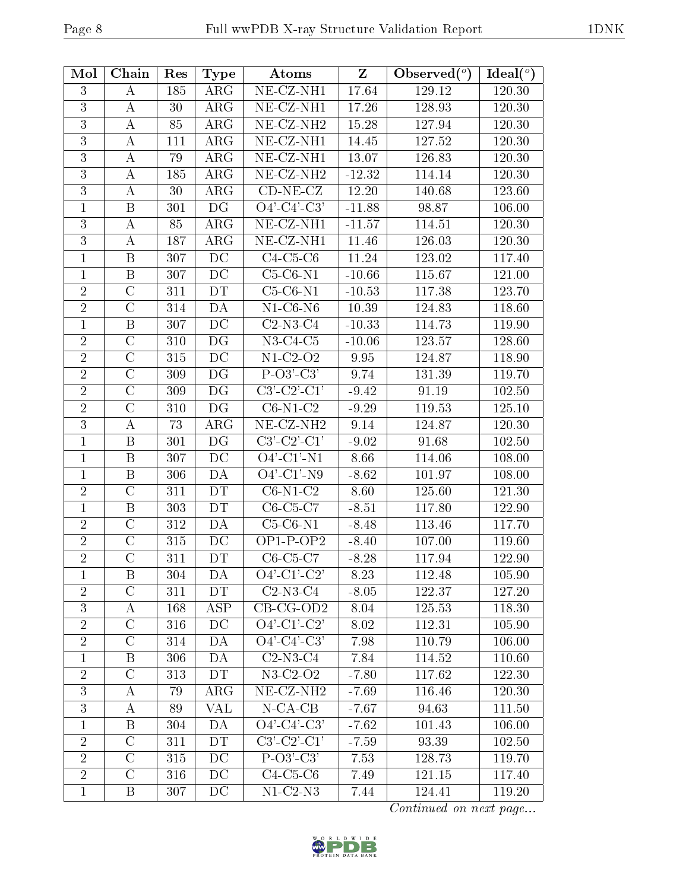| Mol              | Chain              | Res | <b>Type</b>              | Atoms                          | Z        | Observed $(°)$ | Ideal $(°)$ |
|------------------|--------------------|-----|--------------------------|--------------------------------|----------|----------------|-------------|
| 3                | А                  | 185 | $\rm{ARG}$               | NE-CZ-NH1                      | 17.64    | 129.12         | 120.30      |
| 3                | А                  | 30  | $\rm{ARG}$               | NE-CZ-NH1                      | 17.26    | 128.93         | 120.30      |
| 3                | А                  | 85  | ARG                      | NE-CZ-NH <sub>2</sub>          | 15.28    | 127.94         | 120.30      |
| $\mathbf{3}$     | A                  | 111 | $\rm{ARG}$               | NE-CZ-NH1                      | 14.45    | 127.52         | 120.30      |
| 3                | А                  | 79  | $\rm{ARG}$               | NE-CZ-NH1                      | 13.07    | 126.83         | 120.30      |
| $\overline{3}$   | $\boldsymbol{A}$   | 185 | $\rm{ARG}$               | NE-CZ-NH <sub>2</sub>          | $-12.32$ | 114.14         | 120.30      |
| 3                | A                  | 30  | $\rm{ARG}$               | $CD-NE- CZ$                    | 12.20    | 140.68         | 123.60      |
| 1                | B                  | 301 | DG                       | $\overline{O4'-C4'-C3'}$       | $-11.88$ | 98.87          | 106.00      |
| 3                | А                  | 85  | $\rm{ARG}$               | $\overline{\text{NE- CZ-NH1}}$ | $-11.57$ | 114.51         | 120.30      |
| $\overline{3}$   | $\boldsymbol{A}$   | 187 | ARG                      | NE-CZ-NH1                      | 11.46    | 126.03         | 120.30      |
| $\mathbf{1}$     | B                  | 307 | DC                       | $C4-C5-C6$                     | 11.24    | 123.02         | 117.40      |
| $\mathbf{1}$     | Β                  | 307 | DC                       | $C5-C6-N1$                     | $-10.66$ | 115.67         | 121.00      |
| $\overline{2}$   | $\mathcal{C}$      | 311 | DT                       | $C5-C6-N1$                     | $-10.53$ | 117.38         | 123.70      |
| $\overline{2}$   | $\overline{C}$     | 314 | DA                       | $N1-C6-N6$                     | 10.39    | 124.83         | 118.60      |
| $\mathbf{1}$     | B                  | 307 | DC                       | $C2-N3-C4$                     | $-10.33$ | 114.73         | 119.90      |
| $\sqrt{2}$       | $\overline{\rm C}$ | 310 | $\overline{\mathrm{DG}}$ | $N3-C4-C5$                     | $-10.06$ | 123.57         | 128.60      |
| $\sqrt{2}$       | $\mathcal{C}$      | 315 | DC                       | $N1-C2-O2$                     | 9.95     | 124.87         | 118.90      |
| $\overline{2}$   | $\overline{\rm C}$ | 309 | DG                       | $P-O3'-C3'$                    | 9.74     | 131.39         | 119.70      |
| $\overline{2}$   | $\mathcal{C}$      | 309 | DG                       | $C3'-C2'-C1'$                  | $-9.42$  | 91.19          | 102.50      |
| $\overline{2}$   | $\overline{C}$     | 310 | DG                       | $C6-N1-C2$                     | $-9.29$  | 119.53         | 125.10      |
| $\overline{3}$   | $\boldsymbol{A}$   | 73  | $\rm{ARG}$               | NE-CZ-NH <sub>2</sub>          | 9.14     | 124.87         | 120.30      |
| 1                | $\, {\bf B}$       | 301 | DG                       | $C3'-C2'-C1'$                  | $-9.02$  | 91.68          | 102.50      |
| $\mathbf{1}$     | B                  | 307 | DC                       | $O4'$ -C1'-N1                  | 8.66     | 114.06         | 108.00      |
| $\mathbf{1}$     | B                  | 306 | DA                       | $O4'$ -C1'-N9                  | $-8.62$  | 101.97         | 108.00      |
| $\overline{2}$   | $\mathcal{C}$      | 311 | DT                       | $C6-N1-C2$                     | 8.60     | 125.60         | 121.30      |
| 1                | $\boldsymbol{B}$   | 303 | DT                       | $C6-C5-C7$                     | $-8.51$  | 117.80         | 122.90      |
| $\overline{2}$   | $\mathcal{C}$      | 312 | DA                       | $C5-C6-N1$                     | $-8.48$  | 113.46         | 117.70      |
| $\overline{2}$   | $\mathcal{C}$      | 315 | DC                       | $OP1-POP2$                     | $-8.40$  | 107.00         | 119.60      |
| $\overline{2}$   | $\overline{C}$     | 311 | DT                       | $C6-C5-C7$                     | $-8.28$  | 117.94         | 122.90      |
| 1                | B                  | 304 | DA                       | $O4'$ -C1'-C2'                 | 8.23     | 112.48         | 105.90      |
| $\overline{2}$   | $\mathcal{C}$      | 311 | DT                       | $C2-N3-C4$                     | $-8.05$  | 122.37         | 127.20      |
| 3                | $\boldsymbol{A}$   | 168 | <b>ASP</b>               | $CB-CG-OD2$                    | 8.04     | 125.53         | 118.30      |
| $\overline{2}$   | $\overline{\rm C}$ | 316 | DC                       | $\overline{O4'-C1'-C2'}$       | 8.02     | 112.31         | 105.90      |
| $\overline{2}$   | $\mathcal{C}$      | 314 | DA                       | $O4'-C4'-C3'$                  | 7.98     | 110.79         | 106.00      |
| $\mathbf{1}$     | Β                  | 306 | DA                       | $C2-N3-C4$                     | 7.84     | 114.52         | 110.60      |
| $\boldsymbol{2}$ | $\mathcal C$       | 313 | DT                       | $N3-C2-O2$                     | $-7.80$  | 117.62         | 122.30      |
| 3                | Α                  | 79  | $\rm{ARG}$               | NE-CZ-NH <sub>2</sub>          | $-7.69$  | 116.46         | 120.30      |
| $\mathbf{3}$     | A                  | 89  | VAL                      | $N$ -CA-CB                     | $-7.67$  | 94.63          | 111.50      |
| $\mathbf{1}$     | $\mathbf{B}$       | 304 | DA                       | $O4'$ -C4'-C3'                 | $-7.62$  | 101.43         | 106.00      |
| $\sqrt{2}$       | $\mathcal{C}$      | 311 | DT                       | $C3'-C2'-C1'$                  | $-7.59$  | 93.39          | 102.50      |
| $\overline{2}$   | $\overline{C}$     | 315 | DC                       | $P-O3'-C3'$                    | 7.53     | 128.73         | 119.70      |
| $\overline{2}$   | $\mathcal{C}$      | 316 | DC                       | $C4-C5-C6$                     | 7.49     | 121.15         | 117.40      |
| $\mathbf{1}$     | Β                  | 307 | DC                       | $N1-C2-N3$                     | 7.44     | 124.41         | 119.20      |

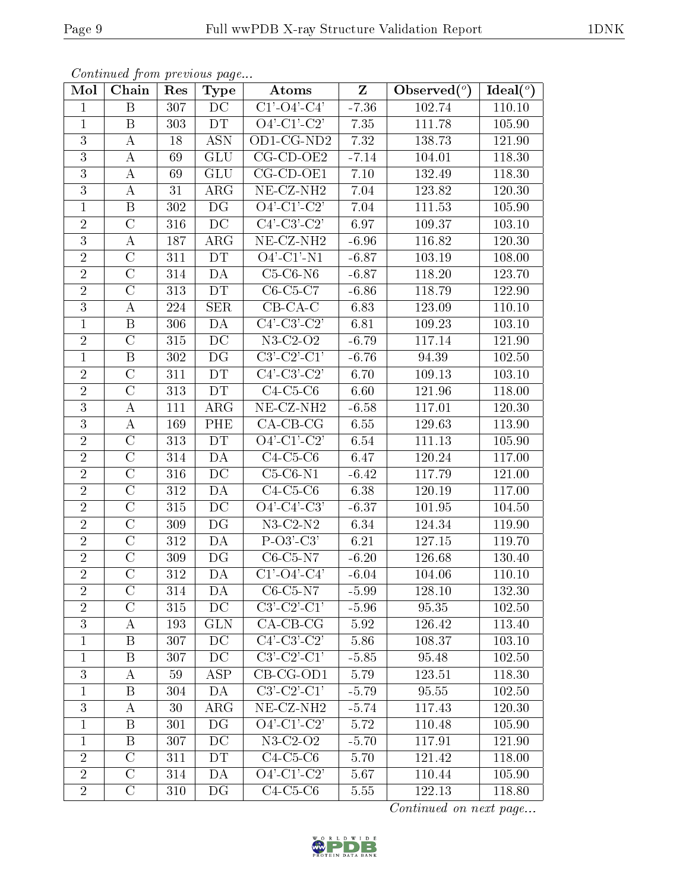| Mol            | <i>Continued from previous page</i><br>Chain | Res              | <b>Type</b>     | $_{\rm Atoms}$                                                   | $\mathbf{Z}$ | Observed $(°)$ | Ideal $(°)$ |
|----------------|----------------------------------------------|------------------|-----------------|------------------------------------------------------------------|--------------|----------------|-------------|
| $\mathbf{1}$   | B                                            | 307              | DC              | $C1'$ -O4'-C4'                                                   | $-7.36$      | 102.74         | 110.10      |
| $\mathbf{1}$   | B                                            | 303              | DT              | $O4'-C1'-C2'$                                                    | 7.35         | 111.78         | 105.90      |
| 3              | $\boldsymbol{A}$                             | 18               | <b>ASN</b>      | OD1-CG-ND2                                                       | 7.32         | 138.73         | 121.90      |
| 3              | A                                            | 69               | <b>GLU</b>      | $CG$ - $CD$ - $OE2$                                              | $-7.14$      | 104.01         | 118.30      |
| $\overline{3}$ | $\boldsymbol{A}$                             | 69               | <b>GLU</b>      | $CG$ - $CD$ - $OE1$                                              | 7.10         | 132.49         | 118.30      |
| 3              | А                                            | 31               | ARG             | NE-CZ-NH <sub>2</sub>                                            | 7.04         | 123.82         | 120.30      |
| $\mathbf{1}$   | $\boldsymbol{B}$                             | 302              | DG              | $O4'-C1'-C2'$                                                    | 7.04         | 111.53         | 105.90      |
| $\overline{2}$ | $\mathcal{C}$                                | 316              | $\overline{DC}$ | $C4'-C3'-C2'$                                                    | 6.97         | 109.37         | 103.10      |
| 3              | А                                            | 187              | $\rm{ARG}$      | $\overline{\text{NE- CZ-NH2}}$                                   | $-6.96$      | 116.82         | 120.30      |
| $\overline{2}$ | $\mathcal{C}$                                | 311              | DT              | $\overline{O4'$ -C1'-N1                                          | $-6.87$      | 103.19         | 108.00      |
| $\overline{2}$ | $\mathcal{C}$                                | 314              | DA              | $C5-C6-N6$                                                       | $-6.87$      | 118.20         | 123.70      |
| $\overline{2}$ | $\mathcal{C}$                                | 313              | DT              | $C6-C5-C7$                                                       | $-6.86$      | 118.79         | 122.90      |
| $\overline{3}$ | А                                            | 224              | <b>SER</b>      | $CB-CA-C$                                                        | 6.83         | 123.09         | 110.10      |
| $\mathbf{1}$   | B                                            | 306              | DA              | $C4'-C3'-C2'$                                                    | 6.81         | 109.23         | 103.10      |
| $\overline{2}$ | $\overline{C}$                               | 315              | $\overline{DC}$ | $N3-C2-O2$                                                       | $-6.79$      | 117.14         | 121.90      |
| $\mathbf{1}$   | B                                            | 302              | DG              | $C3'-C2'-C1'$                                                    | $-6.76$      | 94.39          | 102.50      |
| $\overline{2}$ | $\overline{\rm C}$                           | 311              | DT              | $C4$ <sup>'</sup> -C <sub>3</sub> <sup>'</sup> -C <sub>2</sub> ' | 6.70         | 109.13         | 103.10      |
| $\overline{2}$ | $\mathcal{C}$                                | 313              | DT              | $C4-C5-C6$                                                       | 6.60         | 121.96         | 118.00      |
| $\overline{3}$ | $\boldsymbol{A}$                             | 111              | ARG             | $NE- CZ-NH2$                                                     | $-6.58$      | 117.01         | 120.30      |
| $\overline{3}$ | $\boldsymbol{A}$                             | 169              | PHE             | $CA$ -CB-CG                                                      | 6.55         | 129.63         | 113.90      |
| $\overline{2}$ | $\mathcal{C}$                                | 313              | DT              | $Q\overline{4'-C1'-C2'}$                                         | 6.54         | 111.13         | 105.90      |
| $\overline{2}$ | $\mathcal{C}$                                | 314              | DA              | $C4-C5-C6$                                                       | 6.47         | 120.24         | 117.00      |
| $\overline{2}$ | $\overline{C}$                               | 316              | DC              | $C5-C6-N1$                                                       | $-6.42$      | 117.79         | 121.00      |
| $\overline{2}$ | $\overline{\rm C}$                           | 312              | DA              | $C4-C5-C6$                                                       | 6.38         | 120.19         | 117.00      |
| $\overline{2}$ | $\overline{C}$                               | 315              | $\overline{DC}$ | $O4'-C4'-C3'$                                                    | $-6.37$      | 101.95         | 104.50      |
| $\overline{2}$ | $\rm C$                                      | 309              | DG              | $N3-C2-N2$                                                       | 6.34         | 124.34         | 119.90      |
| $\overline{2}$ | $\overline{C}$                               | $\overline{312}$ | DA              | $P-O3'-C3'$                                                      | 6.21         | 127.15         | 119.70      |
| $\overline{2}$ | $\overline{C}$                               | 309              | DG              | $C6$ - $C5$ - $N7$                                               | $-6.20$      | 126.68         | 130.40      |
| $\overline{2}$ | $\mathcal{C}$                                | 312              | DA              | $C1'-O4'-C4'$                                                    | $-6.04$      | 104.06         | 110.10      |
| $\sqrt{2}$     | $\mathcal C$                                 | 314              | DA              | $C6-C5-N7$                                                       | $-5.99$      | 128.10         | 132.30      |
| $\overline{2}$ | $\rm C$                                      | 315              | DC              | $C3'-C2'-C1'$                                                    | $-5.96$      | 95.35          | 102.50      |
| $\overline{3}$ | A                                            | 193              | <b>GLN</b>      | $CA-CB-CG$                                                       | 5.92         | 126.42         | 113.40      |
| $\mathbf{1}$   | B                                            | 307              | DC              | $C4'-C3'-C2'$                                                    | 5.86         | 108.37         | 103.10      |
| $\mathbf{1}$   | $\mathbf{B}$                                 | 307              | $\overline{DC}$ | $C3'-C2'-C1'$                                                    | $-5.85$      | 95.48          | 102.50      |
| 3              | A                                            | 59               | ASP             | $CB-CG-OD1$                                                      | 5.79         | 123.51         | 118.30      |
| $\mathbf{1}$   | B                                            | 304              | DA              | $C3-C2-C1$                                                       | $-5.79$      | 95.55          | 102.50      |
| $\mathfrak{Z}$ | A                                            | 30               | $\rm{ARG}$      | NE-CZ-NH <sub>2</sub>                                            | $-5.74$      | 117.43         | 120.30      |
| $\mathbf{1}$   | B                                            | 301              | DG              | $O4'$ -C1'-C2'                                                   | 5.72         | 110.48         | 105.90      |
| $\mathbf{1}$   | B                                            | 307              | DC              | N3-C2-O2                                                         | $-5.70$      | 117.91         | 121.90      |
| $\overline{2}$ | $\mathcal{C}$                                | 311              | DT              | $C4-C5-C6$                                                       | 5.70         | 121.42         | 118.00      |
| $\sqrt{2}$     | $\mathcal C$                                 | 314              | DA              | $O4'-C1'-C2'$                                                    | 5.67         | 110.44         | 105.90      |
| $\overline{2}$ | $\mathcal{C}$                                | 310              | DG              | $C4-C5-C6$                                                       | 5.55         | 122.13         | 118.80      |
|                |                                              |                  |                 |                                                                  |              |                |             |

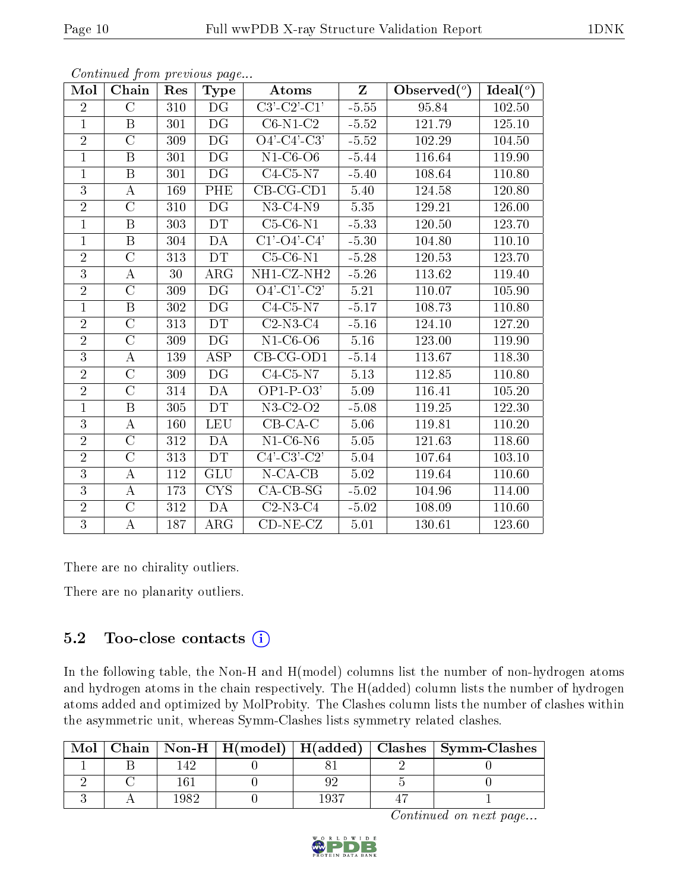| Mol            | Chain              | Res | <b>Type</b>              | Atoms                                                     | $Z_{\rm}$         | Observed $(°)$ | Ideal $(°)$ |
|----------------|--------------------|-----|--------------------------|-----------------------------------------------------------|-------------------|----------------|-------------|
| $\overline{2}$ | $\overline{C}$     | 310 | DG                       | $C3'-C2'-C1'$                                             | $-5.55$           | 95.84          | 102.50      |
| $\mathbf{1}$   | B                  | 301 | DG                       | $C6-N1-C2$                                                | $-5.52$           | 121.79         | 125.10      |
| $\overline{2}$ | $\overline{C}$     | 309 | DG                       | $\overline{O4'$ - $C4'$ - $C3'$                           | $-5.52$           | 102.29         | 104.50      |
| $\mathbf{1}$   | $\boldsymbol{B}$   | 301 | DG                       | $N1-C6-O6$                                                | $-5.44$           | 116.64         | 119.90      |
| $\mathbf{1}$   | $\, {\bf B}$       | 301 | $\overline{\mathrm{DG}}$ | $C4-C5-N7$                                                | $-5.40$           | 108.64         | 110.80      |
| $\overline{3}$ | А                  | 169 | PHE                      | $CB-CG-CD1$                                               | 5.40              | 124.58         | 120.80      |
| $\overline{2}$ | $\overline{C}$     | 310 | DG                       | $N3-C4-N9$                                                | 5.35              | 129.21         | 126.00      |
| $\mathbf{1}$   | $\boldsymbol{B}$   | 303 | DT                       | $C5-C6-N1$                                                | $-5.33$           | 120.50         | 123.70      |
| $\mathbf{1}$   | $\boldsymbol{B}$   | 304 | DA                       | $C1$ <sup>'</sup> - $O4$ <sup>'</sup> - $C4$ <sup>'</sup> | $-5.30$           | 104.80         | 110.10      |
| $\overline{2}$ | $\overline{\rm C}$ | 313 | DT                       | $C5-C6-N1$                                                | $-5.28$           | 120.53         | 123.70      |
| $\overline{3}$ | $\boldsymbol{A}$   | 30  | $\rm{ARG}$               | NH1-CZ-NH2                                                | $-5.26$           | 113.62         | 119.40      |
| $\overline{2}$ | $\overline{\rm C}$ | 309 | $\overline{\mathrm{DG}}$ | $\overline{O4'-C1'-C2'}$                                  | $\overline{5.21}$ | 110.07         | 105.90      |
| $\mathbf{1}$   | $\boldsymbol{B}$   | 302 | DG                       | $C4-C5-N7$                                                | $-5.17$           | 108.73         | 110.80      |
| $\overline{2}$ | $\overline{C}$     | 313 | <b>DT</b>                | $C2-N3-C4$                                                | $-5.16$           | 124.10         | 127.20      |
| $\overline{2}$ | $\overline{C}$     | 309 | DG                       | $N1-C6-O6$                                                | 5.16              | 123.00         | 119.90      |
| $\overline{3}$ | $\boldsymbol{A}$   | 139 | ASP                      | $CB-CG-OD1$                                               | $-5.14$           | 113.67         | 118.30      |
| $\overline{2}$ | $\overline{\rm C}$ | 309 | $\overline{\mathrm{DG}}$ | $C4-C5-N7$                                                | 5.13              | 112.85         | 110.80      |
| $\overline{2}$ | $\overline{C}$     | 314 | DA                       | $OP1-P-O3'$                                               | 5.09              | 116.41         | 105.20      |
| $\mathbf{1}$   | $\boldsymbol{B}$   | 305 | <b>DT</b>                | $N3-C2-O2$                                                | $-5.08$           | 119.25         | 122.30      |
| $\overline{3}$ | $\bf{A}$           | 160 | <b>LEU</b>               | $CB-CA-C$                                                 | 5.06              | 119.81         | 110.20      |
| $\overline{2}$ | $\overline{C}$     | 312 | DA                       | $N1-C6-N6$                                                | 5.05              | 121.63         | 118.60      |
| $\overline{2}$ | $\overline{\rm C}$ | 313 | DT                       | $C4'-C3'-C2'$                                             | 5.04              | 107.64         | 103.10      |
| 3              | А                  | 112 | <b>GLU</b>               | $N$ -CA-CB                                                | 5.02              | 119.64         | 110.60      |
| $\overline{3}$ | $\boldsymbol{A}$   | 173 | <b>CYS</b>               | $CA-CB-SG$                                                | $-5.02$           | 104.96         | 114.00      |
| $\overline{2}$ | $\overline{C}$     | 312 | DA                       | $C2-N3-C4$                                                | $-5.02$           | 108.09         | 110.60      |
| $\overline{3}$ | А                  | 187 | $\rm{ARG}$               | $CD-NE- CZ$                                               | 5.01              | 130.61         | 123.60      |

Continued from previous page...

There are no chirality outliers.

There are no planarity outliers.

#### 5.2 Too-close contacts  $(i)$

In the following table, the Non-H and H(model) columns list the number of non-hydrogen atoms and hydrogen atoms in the chain respectively. The H(added) column lists the number of hydrogen atoms added and optimized by MolProbity. The Clashes column lists the number of clashes within the asymmetric unit, whereas Symm-Clashes lists symmetry related clashes.

| Mol |  |  | Chain   Non-H   H(model)   H(added)   Clashes   Symm-Clashes |
|-----|--|--|--------------------------------------------------------------|
|     |  |  |                                                              |
|     |  |  |                                                              |
|     |  |  |                                                              |

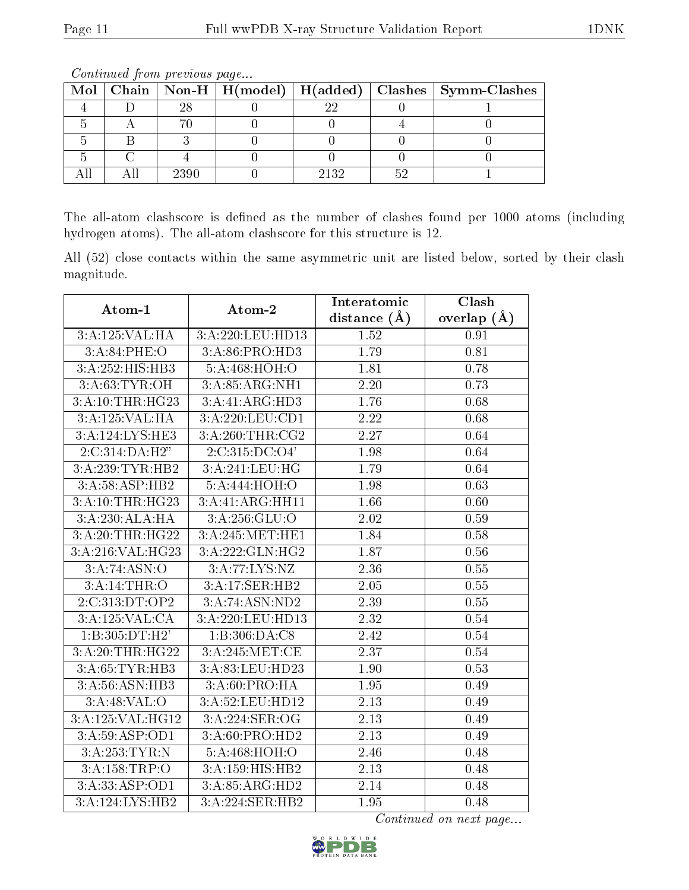|  |      |      | Mol   Chain   Non-H   H(model)   H(added)   Clashes   Symm-Clashes |
|--|------|------|--------------------------------------------------------------------|
|  |      |      |                                                                    |
|  |      |      |                                                                    |
|  |      |      |                                                                    |
|  |      |      |                                                                    |
|  | 2390 | 9139 |                                                                    |

Continued from previous page...

The all-atom clashscore is defined as the number of clashes found per 1000 atoms (including hydrogen atoms). The all-atom clashscore for this structure is 12.

All (52) close contacts within the same asymmetric unit are listed below, sorted by their clash magnitude.

| Atom-1           | Atom-2           | Interatomic    | Clash         |  |
|------------------|------------------|----------------|---------------|--|
|                  |                  | distance $(A)$ | overlap $(A)$ |  |
| 3:A:125:VAL:HA   | 3:A:220:LEU:HD13 | 1.52           | 0.91          |  |
| 3: A:84:PHE:O    | 3:A:86:PRO:HD3   | 1.79           | 0.81          |  |
| 3:A:252:HIS:HB3  | 5:A:468:HOH:O    | 1.81           | 0.78          |  |
| 3: A:63: TYR:OH  | 3:A:85:ARG:NH1   | 2.20           | 0.73          |  |
| 3:A:10:THR:HG23  | 3:A:41:ARG:HD3   | 1.76           | 0.68          |  |
| 3:A:125:VAL:HA   | 3:A:220:LEU:CD1  | 2.22           | 0.68          |  |
| 3:A:124:LYS:HE3  | 3: A:260:THR:CG2 | 2.27           | 0.64          |  |
| 2:C:314:DA:H2"   | 2:C:315:DC:O4'   | 1.98           | 0.64          |  |
| 3:A:239:TYR:HB2  | 3:A:241:LEU:HG   | 1.79           | 0.64          |  |
| 3:A:58:ASP:HB2   | 5:A:444:HOH:O    | 1.98           | 0.63          |  |
| 3:A:10:THR:HG23  | 3:A:41:ARG:HH11  | 1.66           | 0.60          |  |
| 3:A:230:ALA:HA   | 3:A:256:GLU:O    | 2.02           | 0.59          |  |
| 3:A:20:THR:HG22  | 3:A:245:MET:HE1  | 1.84           | 0.58          |  |
| 3:A:216:VAL:HG23 | 3:A:222:GLN:HG2  | 1.87           | 0.56          |  |
| 3:A:74:ASN:O     | 3:A:77:LYS:NZ    | 2.36           | 0.55          |  |
| 3:A:14:THR:O     | 3:A:17:SER:HB2   | 2.05           | 0.55          |  |
| 2:C:313:DT:OP2   | 3:A:74:ASN:ND2   | 2.39           | 0.55          |  |
| 3:A:125:VAL:CA   | 3:A:220:LEU:HD13 | 2.32           | 0.54          |  |
| 1:B:305:DT:H2'   | 1:B:306:DA:C8    | 2.42           | 0.54          |  |
| 3:A:20:THR:HG22  | 3:A:245:MET:CE   | 2.37           | 0.54          |  |
| 3:A:65:TYR:HB3   | 3:A:83:LEU:HD23  | 1.90           | 0.53          |  |
| 3:A:56:ASN:HB3   | 3:A:60:PRO:HA    | 1.95           | 0.49          |  |
| 3:A:48:VAL:O     | 3:A:52:LEU:HD12  | 2.13           | 0.49          |  |
| 3:A:125:VAL:HG12 | 3:A:224:SER:OG   | 2.13           | 0.49          |  |
| 3:A:59:ASP:OD1   | 3:A:60:PRO:HD2   | 2.13           | 0.49          |  |
| 3:A:253:TYR:N    | 5:A:468:HOH:O    | 2.46           | 0.48          |  |
| 3:A:158:TRP:O    | 3:A:159:HIS:HB2  | 2.13           | 0.48          |  |
| 3:A:33:ASP:OD1   | 3:A:85:ARG:HD2   | 2.14           | 0.48          |  |
| 3:A:124:LYS:HB2  | 3:A:224:SER:HB2  | 1.95           | 0.48          |  |

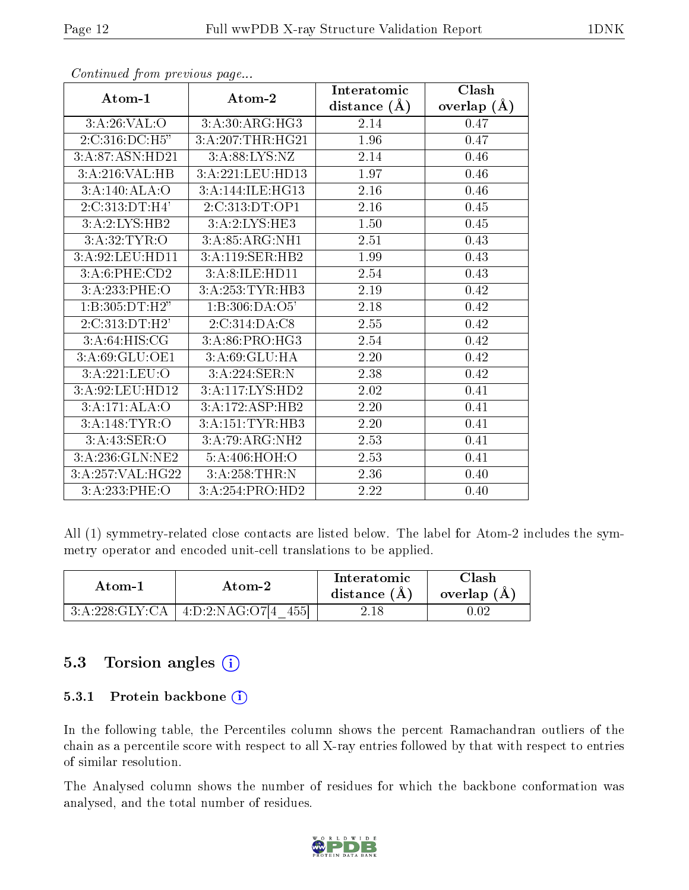|                   |                               | Interatomic      | Clash         |
|-------------------|-------------------------------|------------------|---------------|
| Atom-1            | Atom-2                        | distance $(\AA)$ | overlap $(A)$ |
| 3:A:26:VAL:O      | 3:A:30:ARG:HG3                | 2.14             | 0.47          |
| 2:C:316:DC:H5"    | 3:A:207:THR:HG21              | 1.96             | 0.47          |
| 3:A:87:ASN:HD21   | 3:A:88:LYS:NZ                 | 2.14             | 0.46          |
| 3:A:216:VAL:HB    | 3:A:221:LEU:HD13              | 1.97             | 0.46          |
| 3:A:140:ALA:O     | 3:A:144:ILE:HG13              | $2.16\,$         | 0.46          |
| 2:C:313:DT:H4'    | 2:C:313:DT:OP1                | 2.16             | 0.45          |
| 3:A:2:LYS:HB2     | 3:A:2:LYS:HE3                 | 1.50             | 0.45          |
| 3:A:32:TYR:O      | 3:A:85:ARG:NH1                | 2.51             | 0.43          |
| 3:A:92:LEU:HD11   | 3:A:119:SER:HB2               | 1.99             | 0.43          |
| 3:A:6:PHE:CD2     | 3:A:8:ILE:HD11                | 2.54             | 0.43          |
| 3:A:233:PHE:O     | 3:A:253:TYR:HB3               | 2.19             | 0.42          |
| 1: B: 305: DT:H2" | 1:B:306:DA:O5'                | 2.18             | 0.42          |
| 2:C:313:DT:H2'    | 2:C:314:DA:C8                 | 2.55             | 0.42          |
| 3:A:64:HIS:CG     | $3: A:86: PRO:H\overline{G3}$ | 2.54             | 0.42          |
| 3:A:69:GLU:OE1    | 3:A:69:GLU:HA                 | 2.20             | 0.42          |
| 3:A:221:LEU:O     | 3:A:224:SER:N                 | 2.38             | 0.42          |
| 3:A:92:LEU:HD12   | 3:A:117:LYS:HD2               | 2.02             | 0.41          |
| 3:A:171:ALA:O     | 3:A:172:ASP:HB2               | 2.20             | 0.41          |
| 3:A:148:TYR:O     | 3:A:151:TYR:HB3               | 2.20             | 0.41          |
| 3: A:43: SER:O    | 3:A:79:ARG:NH2                | 2.53             | 0.41          |
| 3:A:236:GLN:NE2   | 5:A:406:HOH:O                 | 2.53             | 0.41          |
| 3:A:257:VAL:HG22  | 3:A:258:THR:N                 | 2.36             | 0.40          |
| 3:A:233:PHE:O     | 3:A:254:PRO:HD2               | 2.22             | 0.40          |

Continued from previous page...

All (1) symmetry-related close contacts are listed below. The label for Atom-2 includes the symmetry operator and encoded unit-cell translations to be applied.

| Atom-1 |                                         | Interatomic    | $\mathrm{Class} \mathbf{h}$ |
|--------|-----------------------------------------|----------------|-----------------------------|
| Atom-2 |                                         | distance $(A)$ | overlap $(A)$               |
|        | $3:A:228:GLY:CA$   $4:D:2:NAG:O7[4$ 455 | 2.18           |                             |

#### 5.3 Torsion angles (i)

#### 5.3.1 Protein backbone (i)

In the following table, the Percentiles column shows the percent Ramachandran outliers of the chain as a percentile score with respect to all X-ray entries followed by that with respect to entries of similar resolution.

The Analysed column shows the number of residues for which the backbone conformation was analysed, and the total number of residues.

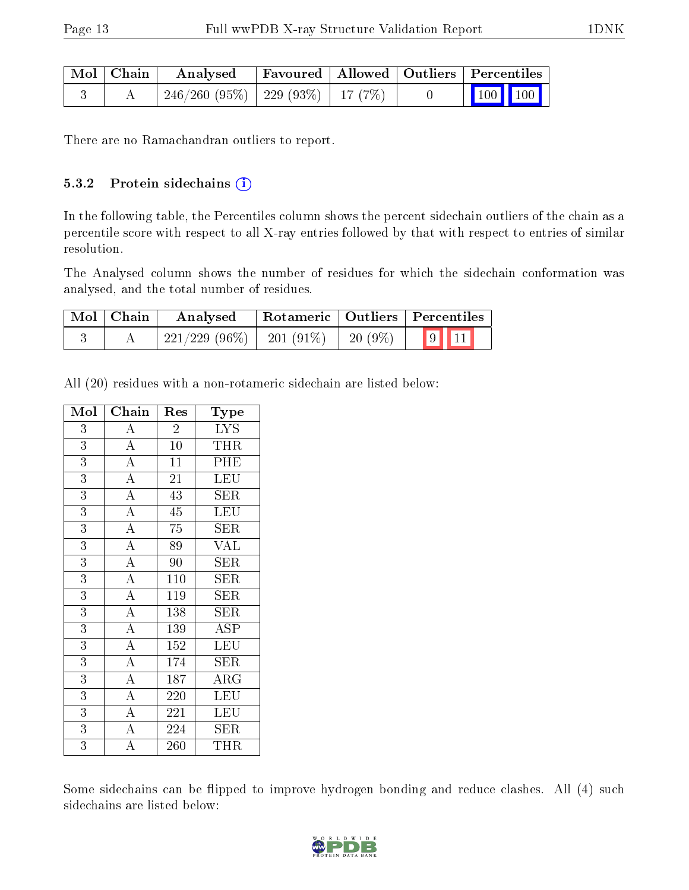| Mol   Chain | Analysed                                 | Favoured   Allowed   Outliers   Percentiles |  |                             |
|-------------|------------------------------------------|---------------------------------------------|--|-----------------------------|
|             | $246/260$ (95\%)   229 (93\%)   17 (7\%) |                                             |  | $\boxed{100}$ $\boxed{100}$ |

There are no Ramachandran outliers to report.

#### 5.3.2 Protein sidechains (i)

In the following table, the Percentiles column shows the percent sidechain outliers of the chain as a percentile score with respect to all X-ray entries followed by that with respect to entries of similar resolution.

The Analysed column shows the number of residues for which the sidechain conformation was analysed, and the total number of residues.

| $\blacksquare$ Mol $\blacksquare$ Chain | Analysed        |             |            | Rotameric   Outliers   Percentiles |  |
|-----------------------------------------|-----------------|-------------|------------|------------------------------------|--|
|                                         | $221/229(96\%)$ | $201(91\%)$ | 20 $(9\%)$ | 9  11                              |  |

All (20) residues with a non-rotameric sidechain are listed below:

| Mol            | Chain              | Res              | Type                    |
|----------------|--------------------|------------------|-------------------------|
| 3              | $\overline{A}$     | $\overline{2}$   | $\overline{\text{LYS}}$ |
| 3              | $\overline{A}$     | 10               | <b>THR</b>              |
| $\overline{3}$ | $\overline{A}$     | $\overline{11}$  | PHE                     |
| $\overline{3}$ | $\overline{A}$     | 21               | LEU                     |
| $\overline{3}$ | $\overline{A}$     | 43               | SER                     |
| $\overline{3}$ | $\overline{A}$     | $\overline{45}$  | LEU                     |
| $\overline{3}$ | $\overline{A}$     | 75               | SER                     |
| $\overline{3}$ | $\overline{A}$     | 89               | $\overline{\text{VAL}}$ |
| $\overline{3}$ | $\overline{A}$     | 90               | <b>SER</b>              |
| 3              | $\overline{A}$     | 110              | <b>SER</b>              |
| $\overline{3}$ | $\overline{A}$     | 119              | SER                     |
| $\overline{3}$ | $\overline{A}$     | 138              | <b>SER</b>              |
| $\overline{3}$ | $\overline{A}$     | $\overline{1}39$ | $\overline{\text{ASP}}$ |
| $\overline{3}$ | $\overline{A}$     | 152              | <b>LEU</b>              |
| 3              | $\overline{A}$     | 174              | <b>SER</b>              |
| 3              | $\overline{A}$     | 187              | $\rm{ARG}$              |
| 3              | $\overline{A}$     | 220              | $\overline{\text{LEU}}$ |
| $\overline{3}$ | $\overline{A}$     | 221              | LEU                     |
| 3              | $\overline{A}$     | 224              | <b>SER</b>              |
| $\overline{3}$ | $\overline{\rm A}$ | 260              | THR                     |

Some sidechains can be flipped to improve hydrogen bonding and reduce clashes. All (4) such sidechains are listed below:

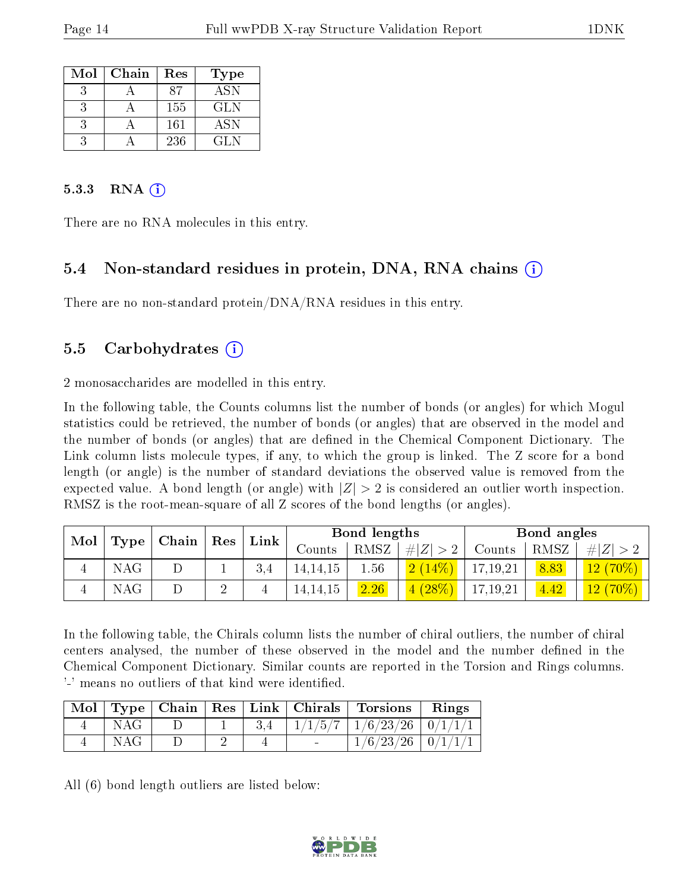| Mol | Chain | Res | <b>Type</b> |
|-----|-------|-----|-------------|
|     |       | 87  | <b>ASN</b>  |
|     |       | 155 | GL N        |
|     |       | 161 | <b>ASN</b>  |
|     |       | 236 | GL N        |

#### 5.3.3 RNA  $(i)$

There are no RNA molecules in this entry.

#### 5.4 Non-standard residues in protein, DNA, RNA chains (i)

There are no non-standard protein/DNA/RNA residues in this entry.

#### 5.5 Carbohydrates (i)

2 monosaccharides are modelled in this entry.

In the following table, the Counts columns list the number of bonds (or angles) for which Mogul statistics could be retrieved, the number of bonds (or angles) that are observed in the model and the number of bonds (or angles) that are dened in the Chemical Component Dictionary. The Link column lists molecule types, if any, to which the group is linked. The Z score for a bond length (or angle) is the number of standard deviations the observed value is removed from the expected value. A bond length (or angle) with  $|Z| > 2$  is considered an outlier worth inspection. RMSZ is the root-mean-square of all Z scores of the bond lengths (or angles).

| Mol |      | Chain | Res    |                 |            | Bond lengths |          |          | Bond angles |            |
|-----|------|-------|--------|-----------------|------------|--------------|----------|----------|-------------|------------|
|     | Type |       |        | $\mathbf{Link}$ | Counts     | RMSZ         | Z <br>#  | Counts   | RMSZ        | H Z        |
|     | NAG  | ⊥     |        | 3.4             | 14, 14, 15 | 1.56         | (2(14%)  | 17,19,21 | 8.83        | $12(70\%)$ |
|     | NAG  |       | ച<br>↩ |                 | 14, 14, 15 | 2.26         | $(28\%)$ | 17,19,21 | 4.42        | $12(70\%)$ |

In the following table, the Chirals column lists the number of chiral outliers, the number of chiral centers analysed, the number of these observed in the model and the number defined in the Chemical Component Dictionary. Similar counts are reported in the Torsion and Rings columns. '-' means no outliers of that kind were identified.

|     |  |  | Mol   Type   Chain   Res   Link   Chirals   Torsions   Rings |  |
|-----|--|--|--------------------------------------------------------------|--|
| NAG |  |  | $1/1/5/7$ $1/6/23/26$ $0/1/1/1$                              |  |
| NAG |  |  | $1/6/23/26$   $0/1/1/1$                                      |  |

All (6) bond length outliers are listed below:

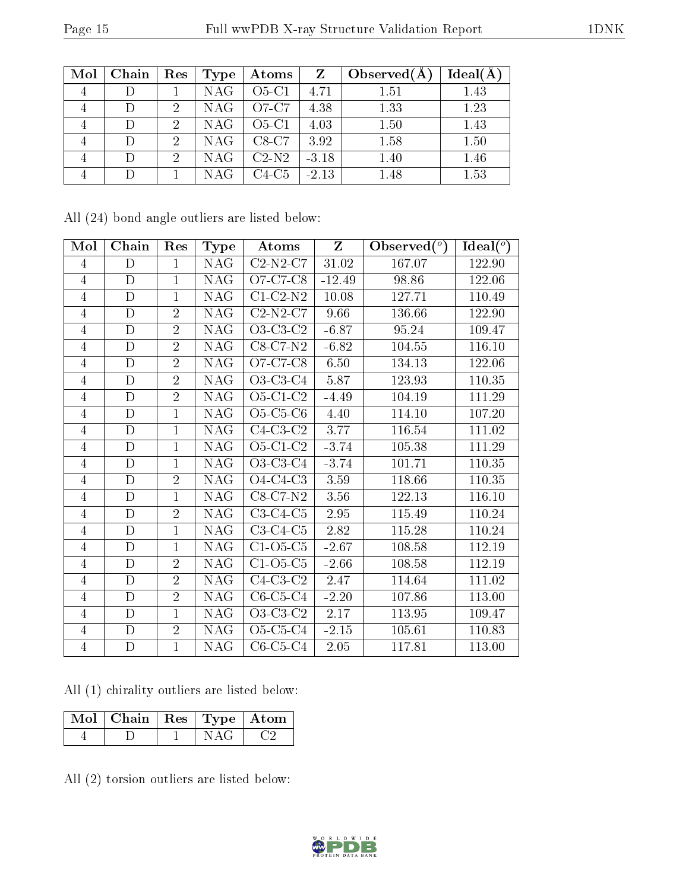| Mol | Chain  | $\operatorname{Res}$ | Type       | Atoms   | $\mathbf{Z}$ | Observed $(A)$ | Ideal(A) |
|-----|--------|----------------------|------------|---------|--------------|----------------|----------|
|     |        |                      | <b>NAG</b> | $O5-C1$ | 4.71         | 1.51           | 1.43     |
|     |        |                      | <b>NAG</b> | O7-C7   | 4.38         | 1.33           | 1.23     |
|     | D      |                      | <b>NAG</b> | $O5-C1$ | 4.03         | 1.50           | 1.43     |
|     | $\Box$ | 2                    | <b>NAG</b> | $C8-C7$ | 3.92         | 1.58           | 1.50     |
|     | D      | റ                    | <b>NAG</b> | $C2-N2$ | $-3.18$      | 1.40           | 1.46     |
|     |        |                      | NAG        | $C4-C5$ | $-2.13$      | 1.48           | 1.53     |

All (24) bond angle outliers are listed below:

| Mol            | Chain        | Res            | <b>Type</b> | Atoms                                                    | Z         | Observed $(°)$ | Ideal $(°)$ |
|----------------|--------------|----------------|-------------|----------------------------------------------------------|-----------|----------------|-------------|
| $\overline{4}$ | D            | $\mathbf{1}$   | NAG.        | $C2-N2-C7$                                               | $31.02\,$ | 167.07         | 122.90      |
| $\overline{4}$ | $\mathbf D$  | $\mathbf{1}$   | <b>NAG</b>  | O7-C7-C8                                                 | $-12.49$  | 98.86          | 122.06      |
| 4              | $\mathbf{D}$ | $\mathbf{1}$   | <b>NAG</b>  | $C1-C2-N2$                                               | 10.08     | 127.71         | 110.49      |
| $\overline{4}$ | $\mathbf D$  | $\overline{2}$ | <b>NAG</b>  | $C2-N2-C7$                                               | 9.66      | 136.66         | 122.90      |
| $\overline{4}$ | D            | $\overline{2}$ | <b>NAG</b>  | O3-C3-C2                                                 | $-6.87$   | 95.24          | 109.47      |
| $\overline{4}$ | $\mathbf D$  | $\overline{2}$ | <b>NAG</b>  | $C8-C7-N2$                                               | $-6.82$   | 104.55         | 116.10      |
| 4              | $\mathbf D$  | $\overline{2}$ | <b>NAG</b>  | O7-C7-C8                                                 | 6.50      | 134.13         | 122.06      |
| 4              | $\mathbf D$  | $\overline{2}$ | <b>NAG</b>  | O3-C3-C4                                                 | 5.87      | 123.93         | 110.35      |
| 4              | $\mathbf{D}$ | $\overline{2}$ | <b>NAG</b>  | O5-C1-C2                                                 | $-4.49$   | 104.19         | 111.29      |
| $\overline{4}$ | $\mathbf D$  | $\mathbf{1}$   | <b>NAG</b>  | $O5-C5-C6$                                               | 4.40      | 114.10         | 107.20      |
| $\overline{4}$ | $\mathbf D$  | $\mathbf{1}$   | <b>NAG</b>  | $\overline{\text{C}4\text{-}\text{C}}3\text{-}\text{C}2$ | 3.77      | 116.54         | 111.02      |
| $\overline{4}$ | D            | $\mathbf{1}$   | <b>NAG</b>  | $O5-C1-C2$                                               | $-3.74$   | 105.38         | 111.29      |
| $\overline{4}$ | D            | $\mathbf{1}$   | <b>NAG</b>  | $O3-C3-C4$                                               | $-3.74$   | 101.71         | 110.35      |
| $\overline{4}$ | D            | $\overline{2}$ | <b>NAG</b>  | $O4-C4-C3$                                               | 3.59      | 118.66         | 110.35      |
| $\overline{4}$ | D            | $\mathbf{1}$   | <b>NAG</b>  | $C8-C7-N2$                                               | 3.56      | 122.13         | 116.10      |
| $\overline{4}$ | $\mathbf D$  | $\overline{2}$ | <b>NAG</b>  | $C3-C4-C5$                                               | 2.95      | 115.49         | 110.24      |
| 4              | D            | 1              | <b>NAG</b>  | $C3-C4-C5$                                               | 2.82      | 115.28         | 110.24      |
| $\overline{4}$ | $\mathbf D$  | $\mathbf{1}$   | <b>NAG</b>  | $C1-O5-C5$                                               | $-2.67$   | 108.58         | 112.19      |
| 4              | $\mathbf D$  | $\overline{2}$ | <b>NAG</b>  | $C1-O5-C5$                                               | $-2.66$   | 108.58         | 112.19      |
| $\overline{4}$ | $\mathbf D$  | $\overline{2}$ | <b>NAG</b>  | $C4-C3-C2$                                               | 2.47      | 114.64         | 111.02      |
| $\overline{4}$ | $\mathbf D$  | $\overline{2}$ | <b>NAG</b>  | $C6-C5-C4$                                               | $-2.20$   | 107.86         | 113.00      |
| $\overline{4}$ | D            | $\mathbf{1}$   | <b>NAG</b>  | O3-C3-C2                                                 | 2.17      | 113.95         | 109.47      |
| $\overline{4}$ | $\mathbf D$  | $\overline{2}$ | <b>NAG</b>  | O5-C5-C4                                                 | $-2.15$   | 105.61         | 110.83      |
| $\overline{4}$ | $\mathbf D$  | $\mathbf{1}$   | <b>NAG</b>  | $C6-C5-C4$                                               | 2.05      | 117.81         | 113.00      |

All (1) chirality outliers are listed below:

| Mol   Chain   Res   Type   Atom |  |  |
|---------------------------------|--|--|
|                                 |  |  |

All (2) torsion outliers are listed below:

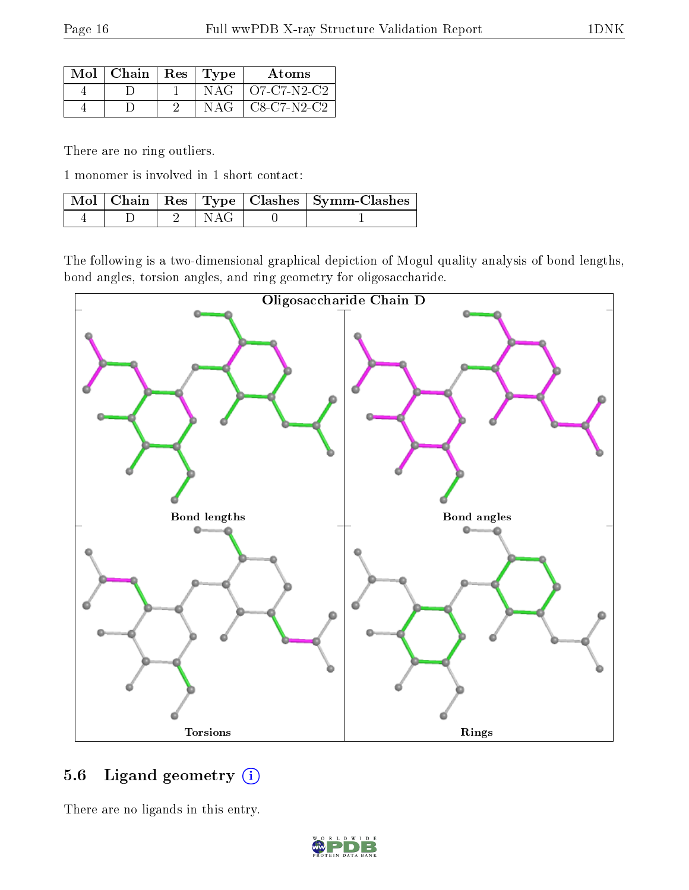| Mol   Chain   Res   Type |  | Atoms                 |
|--------------------------|--|-----------------------|
|                          |  | $NAG$   $O7-C7-N2-C2$ |
|                          |  | $NAG$   C8-C7-N2-C2   |

There are no ring outliers.

1 monomer is involved in 1 short contact:

|  |       | Mol   Chain   Res   Type   Clashes   Symm-Clashes |
|--|-------|---------------------------------------------------|
|  | N AG- |                                                   |

The following is a two-dimensional graphical depiction of Mogul quality analysis of bond lengths, bond angles, torsion angles, and ring geometry for oligosaccharide.



### 5.6 Ligand geometry (i)

There are no ligands in this entry.

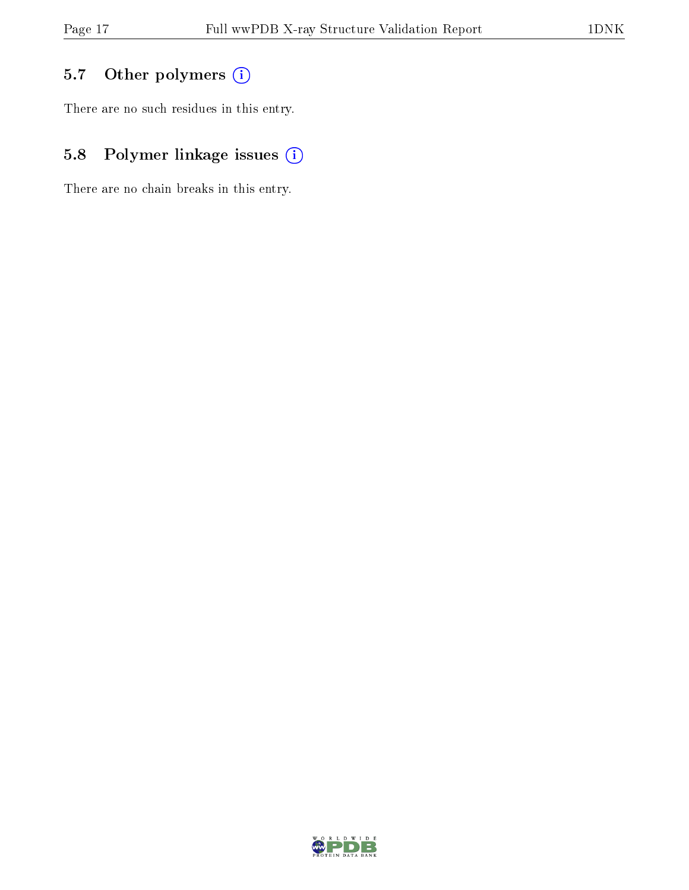## 5.7 [O](https://www.wwpdb.org/validation/2017/XrayValidationReportHelp#nonstandard_residues_and_ligands)ther polymers (i)

There are no such residues in this entry.

## 5.8 Polymer linkage issues (i)

There are no chain breaks in this entry.